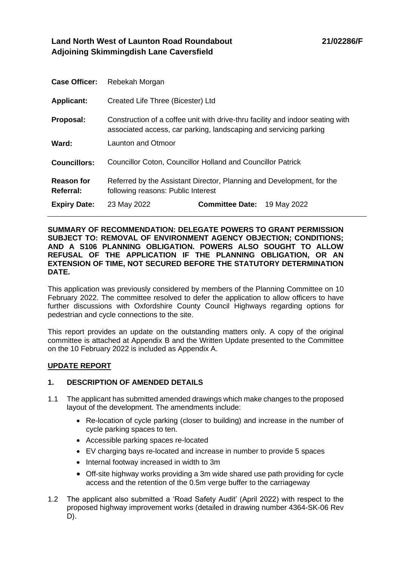# **Land North West of Launton Road Roundabout Adjoining Skimmingdish Lane Caversfield**

| <b>Case Officer:</b>           | Rebekah Morgan                                                                                                                                      |                        |             |
|--------------------------------|-----------------------------------------------------------------------------------------------------------------------------------------------------|------------------------|-------------|
| <b>Applicant:</b>              | Created Life Three (Bicester) Ltd                                                                                                                   |                        |             |
| Proposal:                      | Construction of a coffee unit with drive-thru facility and indoor seating with<br>associated access, car parking, landscaping and servicing parking |                        |             |
| Ward:                          | Launton and Otmoor                                                                                                                                  |                        |             |
| <b>Councillors:</b>            | <b>Councillor Coton, Councillor Holland and Councillor Patrick</b>                                                                                  |                        |             |
| <b>Reason for</b><br>Referral: | Referred by the Assistant Director, Planning and Development, for the<br>following reasons: Public Interest                                         |                        |             |
| <b>Expiry Date:</b>            | 23 May 2022                                                                                                                                         | <b>Committee Date:</b> | 19 May 2022 |

#### **SUMMARY OF RECOMMENDATION: DELEGATE POWERS TO GRANT PERMISSION SUBJECT TO: REMOVAL OF ENVIRONMENT AGENCY OBJECTION; CONDITIONS; AND A S106 PLANNING OBLIGATION. POWERS ALSO SOUGHT TO ALLOW REFUSAL OF THE APPLICATION IF THE PLANNING OBLIGATION, OR AN EXTENSION OF TIME, NOT SECURED BEFORE THE STATUTORY DETERMINATION DATE.**

This application was previously considered by members of the Planning Committee on 10 February 2022. The committee resolved to defer the application to allow officers to have further discussions with Oxfordshire County Council Highways regarding options for pedestrian and cycle connections to the site.

This report provides an update on the outstanding matters only. A copy of the original committee is attached at Appendix B and the Written Update presented to the Committee on the 10 February 2022 is included as Appendix A.

## **UPDATE REPORT**

## **1. DESCRIPTION OF AMENDED DETAILS**

- 1.1 The applicant has submitted amended drawings which make changes to the proposed layout of the development. The amendments include:
	- Re-location of cycle parking (closer to building) and increase in the number of cycle parking spaces to ten.
	- Accessible parking spaces re-located
	- EV charging bays re-located and increase in number to provide 5 spaces
	- Internal footway increased in width to 3m
	- Off-site highway works providing a 3m wide shared use path providing for cycle access and the retention of the 0.5m verge buffer to the carriageway
- 1.2 The applicant also submitted a 'Road Safety Audit' (April 2022) with respect to the proposed highway improvement works (detailed in drawing number 4364-SK-06 Rev D).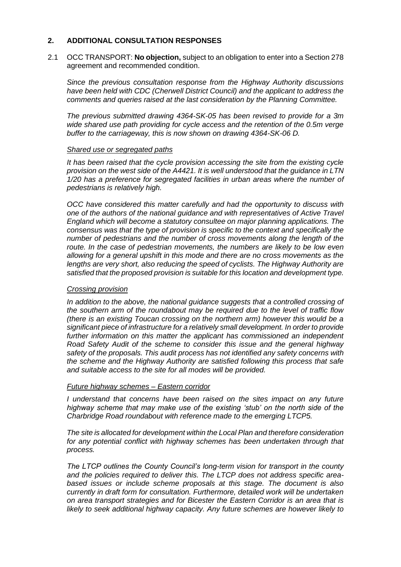## **2. ADDITIONAL CONSULTATION RESPONSES**

2.1 OCC TRANSPORT: **No objection,** subject to an obligation to enter into a Section 278 agreement and recommended condition.

*Since the previous consultation response from the Highway Authority discussions have been held with CDC (Cherwell District Council) and the applicant to address the comments and queries raised at the last consideration by the Planning Committee.* 

*The previous submitted drawing 4364-SK-05 has been revised to provide for a 3m wide shared use path providing for cycle access and the retention of the 0.5m verge buffer to the carriageway, this is now shown on drawing 4364-SK-06 D.*

#### *Shared use or segregated paths*

*It has been raised that the cycle provision accessing the site from the existing cycle provision on the west side of the A4421. It is well understood that the guidance in LTN 1/20 has a preference for segregated facilities in urban areas where the number of pedestrians is relatively high.* 

*OCC have considered this matter carefully and had the opportunity to discuss with one of the authors of the national guidance and with representatives of Active Travel England which will become a statutory consultee on major planning applications. The consensus was that the type of provision is specific to the context and specifically the number of pedestrians and the number of cross movements along the length of the route. In the case of pedestrian movements, the numbers are likely to be low even allowing for a general upshift in this mode and there are no cross movements as the lengths are very short, also reducing the speed of cyclists. The Highway Authority are satisfied that the proposed provision is suitable for this location and development type.*

#### *Crossing provision*

*In addition to the above, the national guidance suggests that a controlled crossing of the southern arm of the roundabout may be required due to the level of traffic flow (there is an existing Toucan crossing on the northern arm) however this would be a significant piece of infrastructure for a relatively small development. In order to provide further information on this matter the applicant has commissioned an independent Road Safety Audit of the scheme to consider this issue and the general highway safety of the proposals. This audit process has not identified any safety concerns with the scheme and the Highway Authority are satisfied following this process that safe and suitable access to the site for all modes will be provided.* 

### *Future highway schemes – Eastern corridor*

*I* understand that concerns have been raised on the sites impact on any future *highway scheme that may make use of the existing 'stub' on the north side of the Charbridge Road roundabout with reference made to the emerging LTCP5.* 

*The site is allocated for development within the Local Plan and therefore consideration for any potential conflict with highway schemes has been undertaken through that process.* 

*The LTCP outlines the County Council's long-term vision for transport in the county and the policies required to deliver this. The LTCP does not address specific areabased issues or include scheme proposals at this stage. The document is also currently in draft form for consultation. Furthermore, detailed work will be undertaken on area transport strategies and for Bicester the Eastern Corridor is an area that is likely to seek additional highway capacity. Any future schemes are however likely to*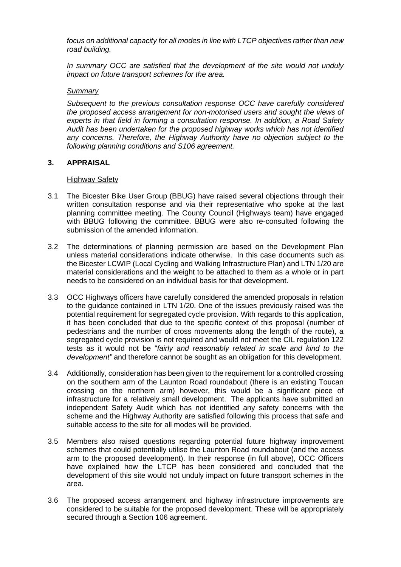*focus on additional capacity for all modes in line with LTCP objectives rather than new road building.* 

*In summary OCC are satisfied that the development of the site would not unduly impact on future transport schemes for the area.*

### *Summary*

*Subsequent to the previous consultation response OCC have carefully considered the proposed access arrangement for non-motorised users and sought the views of experts in that field in forming a consultation response. In addition, a Road Safety Audit has been undertaken for the proposed highway works which has not identified any concerns. Therefore, the Highway Authority have no objection subject to the following planning conditions and S106 agreement.*

### **3. APPRAISAL**

### Highway Safety

- 3.1 The Bicester Bike User Group (BBUG) have raised several objections through their written consultation response and via their representative who spoke at the last planning committee meeting. The County Council (Highways team) have engaged with BBUG following the committee. BBUG were also re-consulted following the submission of the amended information.
- 3.2 The determinations of planning permission are based on the Development Plan unless material considerations indicate otherwise. In this case documents such as the Bicester LCWIP (Local Cycling and Walking Infrastructure Plan) and LTN 1/20 are material considerations and the weight to be attached to them as a whole or in part needs to be considered on an individual basis for that development.
- 3.3 OCC Highways officers have carefully considered the amended proposals in relation to the guidance contained in LTN 1/20. One of the issues previously raised was the potential requirement for segregated cycle provision. With regards to this application, it has been concluded that due to the specific context of this proposal (number of pedestrians and the number of cross movements along the length of the route), a segregated cycle provision is not required and would not meet the CIL regulation 122 tests as it would not be "*fairly and reasonably related in scale and kind to the development"* and therefore cannot be sought as an obligation for this development.
- 3.4 Additionally, consideration has been given to the requirement for a controlled crossing on the southern arm of the Launton Road roundabout (there is an existing Toucan crossing on the northern arm) however, this would be a significant piece of infrastructure for a relatively small development. The applicants have submitted an independent Safety Audit which has not identified any safety concerns with the scheme and the Highway Authority are satisfied following this process that safe and suitable access to the site for all modes will be provided.
- 3.5 Members also raised questions regarding potential future highway improvement schemes that could potentially utilise the Launton Road roundabout (and the access arm to the proposed development). In their response (in full above), OCC Officers have explained how the LTCP has been considered and concluded that the development of this site would not unduly impact on future transport schemes in the area.
- 3.6 The proposed access arrangement and highway infrastructure improvements are considered to be suitable for the proposed development. These will be appropriately secured through a Section 106 agreement.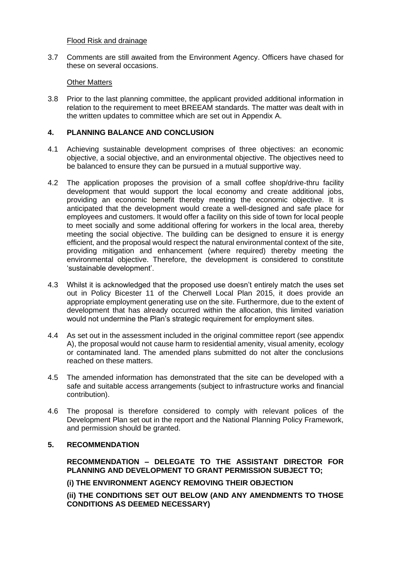## Flood Risk and drainage

3.7 Comments are still awaited from the Environment Agency. Officers have chased for these on several occasions.

### Other Matters

3.8 Prior to the last planning committee, the applicant provided additional information in relation to the requirement to meet BREEAM standards. The matter was dealt with in the written updates to committee which are set out in Appendix A.

### **4. PLANNING BALANCE AND CONCLUSION**

- 4.1 Achieving sustainable development comprises of three objectives: an economic objective, a social objective, and an environmental objective. The objectives need to be balanced to ensure they can be pursued in a mutual supportive way.
- 4.2 The application proposes the provision of a small coffee shop/drive-thru facility development that would support the local economy and create additional jobs, providing an economic benefit thereby meeting the economic objective. It is anticipated that the development would create a well-designed and safe place for employees and customers. It would offer a facility on this side of town for local people to meet socially and some additional offering for workers in the local area, thereby meeting the social objective. The building can be designed to ensure it is energy efficient, and the proposal would respect the natural environmental context of the site, providing mitigation and enhancement (where required) thereby meeting the environmental objective. Therefore, the development is considered to constitute 'sustainable development'.
- 4.3 Whilst it is acknowledged that the proposed use doesn't entirely match the uses set out in Policy Bicester 11 of the Cherwell Local Plan 2015, it does provide an appropriate employment generating use on the site. Furthermore, due to the extent of development that has already occurred within the allocation, this limited variation would not undermine the Plan's strategic requirement for employment sites.
- 4.4 As set out in the assessment included in the original committee report (see appendix A), the proposal would not cause harm to residential amenity, visual amenity, ecology or contaminated land. The amended plans submitted do not alter the conclusions reached on these matters.
- 4.5 The amended information has demonstrated that the site can be developed with a safe and suitable access arrangements (subject to infrastructure works and financial contribution).
- 4.6 The proposal is therefore considered to comply with relevant polices of the Development Plan set out in the report and the National Planning Policy Framework, and permission should be granted.

## **5. RECOMMENDATION**

**RECOMMENDATION – DELEGATE TO THE ASSISTANT DIRECTOR FOR PLANNING AND DEVELOPMENT TO GRANT PERMISSION SUBJECT TO;** 

**(i) THE ENVIRONMENT AGENCY REMOVING THEIR OBJECTION** 

**(ii) THE CONDITIONS SET OUT BELOW (AND ANY AMENDMENTS TO THOSE CONDITIONS AS DEEMED NECESSARY)**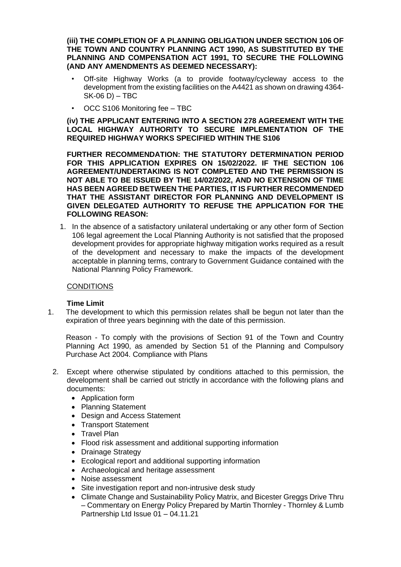**(iii) THE COMPLETION OF A PLANNING OBLIGATION UNDER SECTION 106 OF THE TOWN AND COUNTRY PLANNING ACT 1990, AS SUBSTITUTED BY THE PLANNING AND COMPENSATION ACT 1991, TO SECURE THE FOLLOWING (AND ANY AMENDMENTS AS DEEMED NECESSARY):** 

- Off-site Highway Works (a to provide footway/cycleway access to the development from the existing facilities on the A4421 as shown on drawing 4364-  $SK-06$  D) – TBC
- OCC S106 Monitoring fee TBC

**(iv) THE APPLICANT ENTERING INTO A SECTION 278 AGREEMENT WITH THE LOCAL HIGHWAY AUTHORITY TO SECURE IMPLEMENTATION OF THE REQUIRED HIGHWAY WORKS SPECIFIED WITHIN THE S106** 

**FURTHER RECOMMENDATION: THE STATUTORY DETERMINATION PERIOD FOR THIS APPLICATION EXPIRES ON 15/02/2022. IF THE SECTION 106 AGREEMENT/UNDERTAKING IS NOT COMPLETED AND THE PERMISSION IS NOT ABLE TO BE ISSUED BY THE 14/02/2022, AND NO EXTENSION OF TIME HAS BEEN AGREED BETWEEN THE PARTIES, IT IS FURTHER RECOMMENDED THAT THE ASSISTANT DIRECTOR FOR PLANNING AND DEVELOPMENT IS GIVEN DELEGATED AUTHORITY TO REFUSE THE APPLICATION FOR THE FOLLOWING REASON:** 

1. In the absence of a satisfactory unilateral undertaking or any other form of Section 106 legal agreement the Local Planning Authority is not satisfied that the proposed development provides for appropriate highway mitigation works required as a result of the development and necessary to make the impacts of the development acceptable in planning terms, contrary to Government Guidance contained with the National Planning Policy Framework.

## **CONDITIONS**

## **Time Limit**

1. The development to which this permission relates shall be begun not later than the expiration of three years beginning with the date of this permission.

Reason - To comply with the provisions of Section 91 of the Town and Country Planning Act 1990, as amended by Section 51 of the Planning and Compulsory Purchase Act 2004. Compliance with Plans

- 2. Except where otherwise stipulated by conditions attached to this permission, the development shall be carried out strictly in accordance with the following plans and documents:
	- Application form
	- Planning Statement
	- Design and Access Statement
	- Transport Statement
	- Travel Plan
	- Flood risk assessment and additional supporting information
	- Drainage Strategy
	- Ecological report and additional supporting information
	- Archaeological and heritage assessment
	- Noise assessment
	- Site investigation report and non-intrusive desk study
	- Climate Change and Sustainability Policy Matrix, and Bicester Greggs Drive Thru – Commentary on Energy Policy Prepared by Martin Thornley - Thornley & Lumb Partnership Ltd Issue 01 – 04.11.21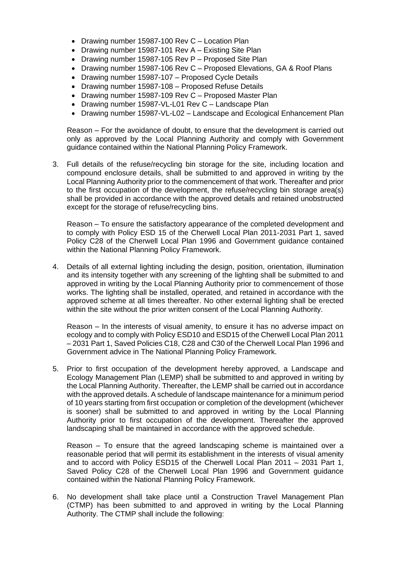- Drawing number 15987-100 Rev C Location Plan
- Drawing number 15987-101 Rev A Existing Site Plan
- Drawing number 15987-105 Rev P Proposed Site Plan
- Drawing number 15987-106 Rev C Proposed Elevations, GA & Roof Plans
- Drawing number 15987-107 Proposed Cycle Details
- Drawing number 15987-108 Proposed Refuse Details
- Drawing number 15987-109 Rev C Proposed Master Plan
- Drawing number 15987-VL-L01 Rev C Landscape Plan
- Drawing number 15987-VL-L02 Landscape and Ecological Enhancement Plan

Reason – For the avoidance of doubt, to ensure that the development is carried out only as approved by the Local Planning Authority and comply with Government guidance contained within the National Planning Policy Framework.

3. Full details of the refuse/recycling bin storage for the site, including location and compound enclosure details, shall be submitted to and approved in writing by the Local Planning Authority prior to the commencement of that work. Thereafter and prior to the first occupation of the development, the refuse/recycling bin storage area(s) shall be provided in accordance with the approved details and retained unobstructed except for the storage of refuse/recycling bins.

Reason – To ensure the satisfactory appearance of the completed development and to comply with Policy ESD 15 of the Cherwell Local Plan 2011-2031 Part 1, saved Policy C28 of the Cherwell Local Plan 1996 and Government guidance contained within the National Planning Policy Framework.

4. Details of all external lighting including the design, position, orientation, illumination and its intensity together with any screening of the lighting shall be submitted to and approved in writing by the Local Planning Authority prior to commencement of those works. The lighting shall be installed, operated, and retained in accordance with the approved scheme at all times thereafter. No other external lighting shall be erected within the site without the prior written consent of the Local Planning Authority.

Reason – In the interests of visual amenity, to ensure it has no adverse impact on ecology and to comply with Policy ESD10 and ESD15 of the Cherwell Local Plan 2011 – 2031 Part 1, Saved Policies C18, C28 and C30 of the Cherwell Local Plan 1996 and Government advice in The National Planning Policy Framework.

5. Prior to first occupation of the development hereby approved, a Landscape and Ecology Management Plan (LEMP) shall be submitted to and approved in writing by the Local Planning Authority. Thereafter, the LEMP shall be carried out in accordance with the approved details. A schedule of landscape maintenance for a minimum period of 10 years starting from first occupation or completion of the development (whichever is sooner) shall be submitted to and approved in writing by the Local Planning Authority prior to first occupation of the development. Thereafter the approved landscaping shall be maintained in accordance with the approved schedule.

Reason – To ensure that the agreed landscaping scheme is maintained over a reasonable period that will permit its establishment in the interests of visual amenity and to accord with Policy ESD15 of the Cherwell Local Plan 2011 – 2031 Part 1, Saved Policy C28 of the Cherwell Local Plan 1996 and Government guidance contained within the National Planning Policy Framework.

6. No development shall take place until a Construction Travel Management Plan (CTMP) has been submitted to and approved in writing by the Local Planning Authority. The CTMP shall include the following: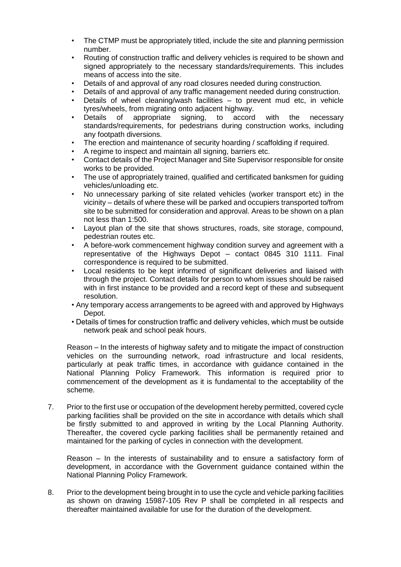- The CTMP must be appropriately titled, include the site and planning permission number.
- Routing of construction traffic and delivery vehicles is required to be shown and signed appropriately to the necessary standards/requirements. This includes means of access into the site.
- Details of and approval of any road closures needed during construction.
- Details of and approval of any traffic management needed during construction.
- Details of wheel cleaning/wash facilities  $-$  to prevent mud etc, in vehicle tyres/wheels, from migrating onto adjacent highway.
- Details of appropriate signing, to accord with the necessary standards/requirements, for pedestrians during construction works, including any footpath diversions.
- The erection and maintenance of security hoarding / scaffolding if required.
- A regime to inspect and maintain all signing, barriers etc.
- Contact details of the Project Manager and Site Supervisor responsible for onsite works to be provided.
- The use of appropriately trained, qualified and certificated banksmen for guiding vehicles/unloading etc.
- No unnecessary parking of site related vehicles (worker transport etc) in the vicinity – details of where these will be parked and occupiers transported to/from site to be submitted for consideration and approval. Areas to be shown on a plan not less than 1:500.
- Layout plan of the site that shows structures, roads, site storage, compound, pedestrian routes etc.
- A before-work commencement highway condition survey and agreement with a representative of the Highways Depot – contact 0845 310 1111. Final correspondence is required to be submitted.
- Local residents to be kept informed of significant deliveries and liaised with through the project. Contact details for person to whom issues should be raised with in first instance to be provided and a record kept of these and subsequent resolution.
- Any temporary access arrangements to be agreed with and approved by Highways Depot.
- Details of times for construction traffic and delivery vehicles, which must be outside network peak and school peak hours.

Reason – In the interests of highway safety and to mitigate the impact of construction vehicles on the surrounding network, road infrastructure and local residents, particularly at peak traffic times, in accordance with guidance contained in the National Planning Policy Framework. This information is required prior to commencement of the development as it is fundamental to the acceptability of the scheme.

7. Prior to the first use or occupation of the development hereby permitted, covered cycle parking facilities shall be provided on the site in accordance with details which shall be firstly submitted to and approved in writing by the Local Planning Authority. Thereafter, the covered cycle parking facilities shall be permanently retained and maintained for the parking of cycles in connection with the development.

Reason – In the interests of sustainability and to ensure a satisfactory form of development, in accordance with the Government guidance contained within the National Planning Policy Framework.

8. Prior to the development being brought in to use the cycle and vehicle parking facilities as shown on drawing 15987-105 Rev P shall be completed in all respects and thereafter maintained available for use for the duration of the development.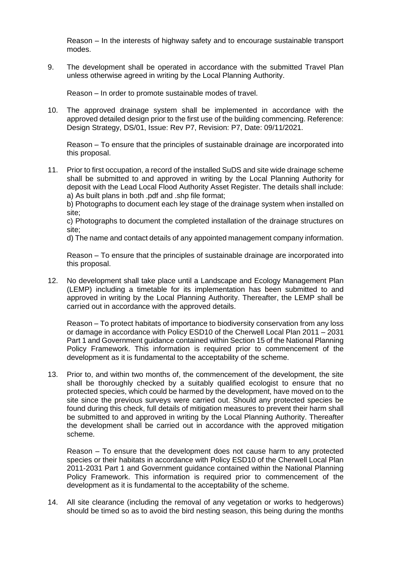Reason – In the interests of highway safety and to encourage sustainable transport modes.

9. The development shall be operated in accordance with the submitted Travel Plan unless otherwise agreed in writing by the Local Planning Authority.

Reason – In order to promote sustainable modes of travel.

10. The approved drainage system shall be implemented in accordance with the approved detailed design prior to the first use of the building commencing. Reference: Design Strategy, DS/01, Issue: Rev P7, Revision: P7, Date: 09/11/2021.

Reason – To ensure that the principles of sustainable drainage are incorporated into this proposal.

11. Prior to first occupation, a record of the installed SuDS and site wide drainage scheme shall be submitted to and approved in writing by the Local Planning Authority for deposit with the Lead Local Flood Authority Asset Register. The details shall include: a) As built plans in both .pdf and .shp file format;

b) Photographs to document each ley stage of the drainage system when installed on site;

c) Photographs to document the completed installation of the drainage structures on site;

d) The name and contact details of any appointed management company information.

Reason – To ensure that the principles of sustainable drainage are incorporated into this proposal.

12. No development shall take place until a Landscape and Ecology Management Plan (LEMP) including a timetable for its implementation has been submitted to and approved in writing by the Local Planning Authority. Thereafter, the LEMP shall be carried out in accordance with the approved details.

Reason – To protect habitats of importance to biodiversity conservation from any loss or damage in accordance with Policy ESD10 of the Cherwell Local Plan 2011 – 2031 Part 1 and Government guidance contained within Section 15 of the National Planning Policy Framework. This information is required prior to commencement of the development as it is fundamental to the acceptability of the scheme.

13. Prior to, and within two months of, the commencement of the development, the site shall be thoroughly checked by a suitably qualified ecologist to ensure that no protected species, which could be harmed by the development, have moved on to the site since the previous surveys were carried out. Should any protected species be found during this check, full details of mitigation measures to prevent their harm shall be submitted to and approved in writing by the Local Planning Authority. Thereafter the development shall be carried out in accordance with the approved mitigation scheme.

Reason – To ensure that the development does not cause harm to any protected species or their habitats in accordance with Policy ESD10 of the Cherwell Local Plan 2011-2031 Part 1 and Government guidance contained within the National Planning Policy Framework. This information is required prior to commencement of the development as it is fundamental to the acceptability of the scheme.

14. All site clearance (including the removal of any vegetation or works to hedgerows) should be timed so as to avoid the bird nesting season, this being during the months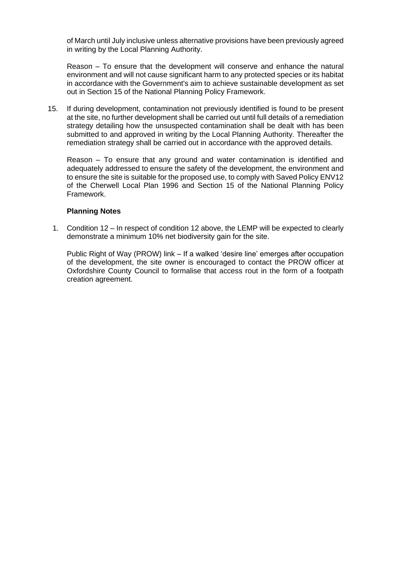of March until July inclusive unless alternative provisions have been previously agreed in writing by the Local Planning Authority.

Reason – To ensure that the development will conserve and enhance the natural environment and will not cause significant harm to any protected species or its habitat in accordance with the Government's aim to achieve sustainable development as set out in Section 15 of the National Planning Policy Framework.

15. If during development, contamination not previously identified is found to be present at the site, no further development shall be carried out until full details of a remediation strategy detailing how the unsuspected contamination shall be dealt with has been submitted to and approved in writing by the Local Planning Authority. Thereafter the remediation strategy shall be carried out in accordance with the approved details.

Reason – To ensure that any ground and water contamination is identified and adequately addressed to ensure the safety of the development, the environment and to ensure the site is suitable for the proposed use, to comply with Saved Policy ENV12 of the Cherwell Local Plan 1996 and Section 15 of the National Planning Policy Framework.

## **Planning Notes**

1. Condition 12 – In respect of condition 12 above, the LEMP will be expected to clearly demonstrate a minimum 10% net biodiversity gain for the site.

Public Right of Way (PROW) link – If a walked 'desire line' emerges after occupation of the development, the site owner is encouraged to contact the PROW officer at Oxfordshire County Council to formalise that access rout in the form of a footpath creation agreement.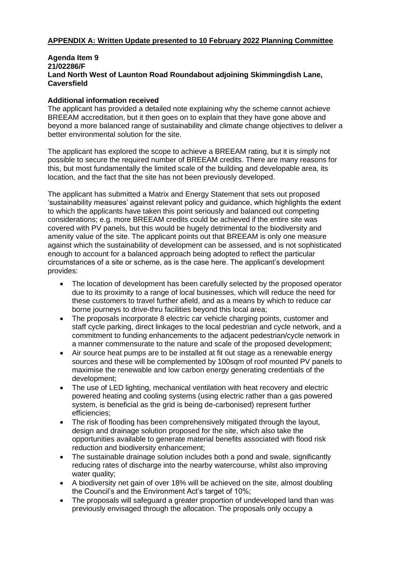# **APPENDIX A: Written Update presented to 10 February 2022 Planning Committee**

### **Agenda Item 9 21/02286/F Land North West of Launton Road Roundabout adjoining Skimmingdish Lane, Caversfield**

## **Additional information received**

The applicant has provided a detailed note explaining why the scheme cannot achieve BREEAM accreditation, but it then goes on to explain that they have gone above and beyond a more balanced range of sustainability and climate change objectives to deliver a better environmental solution for the site.

The applicant has explored the scope to achieve a BREEAM rating, but it is simply not possible to secure the required number of BREEAM credits. There are many reasons for this, but most fundamentally the limited scale of the building and developable area, its location, and the fact that the site has not been previously developed.

The applicant has submitted a Matrix and Energy Statement that sets out proposed 'sustainability measures' against relevant policy and guidance, which highlights the extent to which the applicants have taken this point seriously and balanced out competing considerations; e.g. more BREEAM credits could be achieved if the entire site was covered with PV panels, but this would be hugely detrimental to the biodiversity and amenity value of the site. The applicant points out that BREEAM is only one measure against which the sustainability of development can be assessed, and is not sophisticated enough to account for a balanced approach being adopted to reflect the particular circumstances of a site or scheme, as is the case here. The applicant's development provides:

- The location of development has been carefully selected by the proposed operator due to its proximity to a range of local businesses, which will reduce the need for these customers to travel further afield, and as a means by which to reduce car borne journeys to drive-thru facilities beyond this local area;
- The proposals incorporate 8 electric car vehicle charging points, customer and staff cycle parking, direct linkages to the local pedestrian and cycle network, and a commitment to funding enhancements to the adjacent pedestrian/cycle network in a manner commensurate to the nature and scale of the proposed development;
- Air source heat pumps are to be installed at fit out stage as a renewable energy sources and these will be complemented by 100sqm of roof mounted PV panels to maximise the renewable and low carbon energy generating credentials of the development;
- The use of LED lighting, mechanical ventilation with heat recovery and electric powered heating and cooling systems (using electric rather than a gas powered system, is beneficial as the grid is being de-carbonised) represent further efficiencies;
- The risk of flooding has been comprehensively mitigated through the layout, design and drainage solution proposed for the site, which also take the opportunities available to generate material benefits associated with flood risk reduction and biodiversity enhancement;
- The sustainable drainage solution includes both a pond and swale, significantly reducing rates of discharge into the nearby watercourse, whilst also improving water quality:
- A biodiversity net gain of over 18% will be achieved on the site, almost doubling the Council's and the Environment Act's target of 10%;
- The proposals will safeguard a greater proportion of undeveloped land than was previously envisaged through the allocation. The proposals only occupy a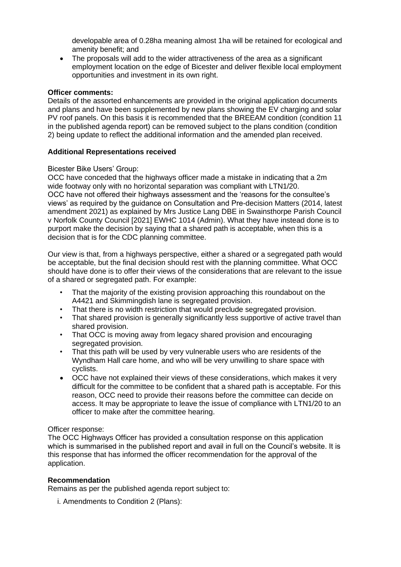developable area of 0.28ha meaning almost 1ha will be retained for ecological and amenity benefit; and

• The proposals will add to the wider attractiveness of the area as a significant employment location on the edge of Bicester and deliver flexible local employment opportunities and investment in its own right.

### **Officer comments:**

Details of the assorted enhancements are provided in the original application documents and plans and have been supplemented by new plans showing the EV charging and solar PV roof panels. On this basis it is recommended that the BREEAM condition (condition 11 in the published agenda report) can be removed subject to the plans condition (condition 2) being update to reflect the additional information and the amended plan received.

### **Additional Representations received**

### Bicester Bike Users' Group:

OCC have conceded that the highways officer made a mistake in indicating that a 2m wide footway only with no horizontal separation was compliant with LTN1/20. OCC have not offered their highways assessment and the 'reasons for the consultee's views' as required by the guidance on Consultation and Pre-decision Matters (2014, latest amendment 2021) as explained by Mrs Justice Lang DBE in Swainsthorpe Parish Council v Norfolk County Council [2021] EWHC 1014 (Admin). What they have instead done is to purport make the decision by saying that a shared path is acceptable, when this is a decision that is for the CDC planning committee.

Our view is that, from a highways perspective, either a shared or a segregated path would be acceptable, but the final decision should rest with the planning committee. What OCC should have done is to offer their views of the considerations that are relevant to the issue of a shared or segregated path. For example:

- That the majority of the existing provision approaching this roundabout on the A4421 and Skimmingdish lane is segregated provision.
- That there is no width restriction that would preclude segregated provision.
- That shared provision is generally significantly less supportive of active travel than shared provision.
- That OCC is moving away from legacy shared provision and encouraging segregated provision.
- That this path will be used by very vulnerable users who are residents of the Wyndham Hall care home, and who will be very unwilling to share space with cyclists.
- OCC have not explained their views of these considerations, which makes it very difficult for the committee to be confident that a shared path is acceptable. For this reason, OCC need to provide their reasons before the committee can decide on access. It may be appropriate to leave the issue of compliance with LTN1/20 to an officer to make after the committee hearing.

#### Officer response:

The OCC Highways Officer has provided a consultation response on this application which is summarised in the published report and avail in full on the Council's website. It is this response that has informed the officer recommendation for the approval of the application.

## **Recommendation**

Remains as per the published agenda report subject to:

i. Amendments to Condition 2 (Plans):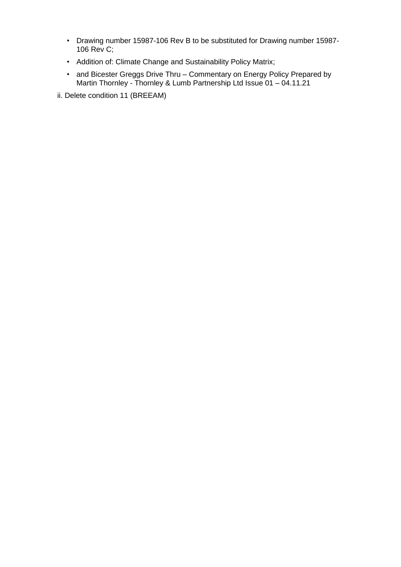- Drawing number 15987-106 Rev B to be substituted for Drawing number 15987- 106 Rev C;
- Addition of: Climate Change and Sustainability Policy Matrix;
- and Bicester Greggs Drive Thru Commentary on Energy Policy Prepared by Martin Thornley - Thornley & Lumb Partnership Ltd Issue 01 – 04.11.21

ii. Delete condition 11 (BREEAM)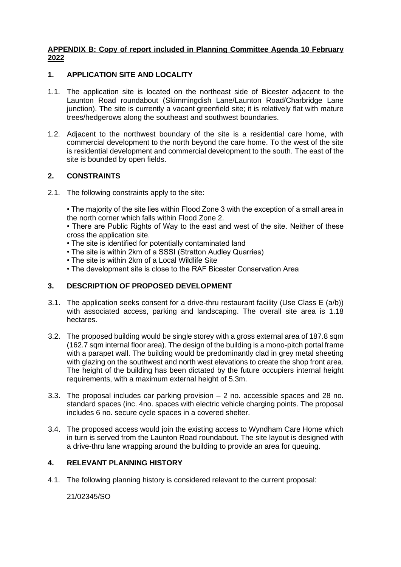## **APPENDIX B: Copy of report included in Planning Committee Agenda 10 February 2022**

# **1. APPLICATION SITE AND LOCALITY**

- 1.1. The application site is located on the northeast side of Bicester adjacent to the Launton Road roundabout (Skimmingdish Lane/Launton Road/Charbridge Lane junction). The site is currently a vacant greenfield site; it is relatively flat with mature trees/hedgerows along the southeast and southwest boundaries.
- 1.2. Adjacent to the northwest boundary of the site is a residential care home, with commercial development to the north beyond the care home. To the west of the site is residential development and commercial development to the south. The east of the site is bounded by open fields.

## **2. CONSTRAINTS**

2.1. The following constraints apply to the site:

• The majority of the site lies within Flood Zone 3 with the exception of a small area in the north corner which falls within Flood Zone 2.

• There are Public Rights of Way to the east and west of the site. Neither of these cross the application site.

- The site is identified for potentially contaminated land
- The site is within 2km of a SSSI (Stratton Audley Quarries)
- The site is within 2km of a Local Wildlife Site
- The development site is close to the RAF Bicester Conservation Area

## **3. DESCRIPTION OF PROPOSED DEVELOPMENT**

- 3.1. The application seeks consent for a drive-thru restaurant facility (Use Class E (a/b)) with associated access, parking and landscaping. The overall site area is 1.18 hectares.
- 3.2. The proposed building would be single storey with a gross external area of 187.8 sqm (162.7 sqm internal floor area). The design of the building is a mono-pitch portal frame with a parapet wall. The building would be predominantly clad in grey metal sheeting with glazing on the southwest and north west elevations to create the shop front area. The height of the building has been dictated by the future occupiers internal height requirements, with a maximum external height of 5.3m.
- 3.3. The proposal includes car parking provision 2 no. accessible spaces and 28 no. standard spaces (inc. 4no. spaces with electric vehicle charging points. The proposal includes 6 no. secure cycle spaces in a covered shelter.
- 3.4. The proposed access would join the existing access to Wyndham Care Home which in turn is served from the Launton Road roundabout. The site layout is designed with a drive-thru lane wrapping around the building to provide an area for queuing.

## **4. RELEVANT PLANNING HISTORY**

4.1. The following planning history is considered relevant to the current proposal:

21/02345/SO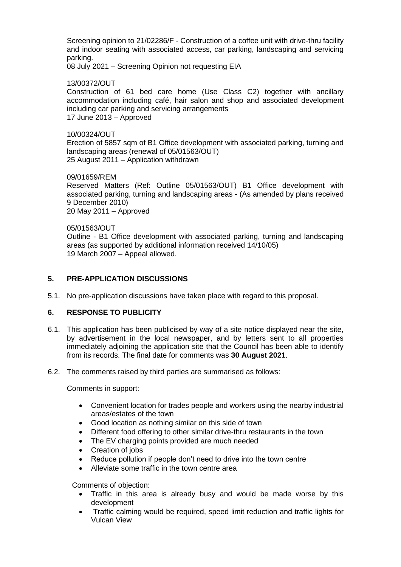Screening opinion to 21/02286/F - Construction of a coffee unit with drive-thru facility and indoor seating with associated access, car parking, landscaping and servicing parking.

08 July 2021 – Screening Opinion not requesting EIA

## 13/00372/OUT

Construction of 61 bed care home (Use Class C2) together with ancillary accommodation including café, hair salon and shop and associated development including car parking and servicing arrangements 17 June 2013 – Approved

#### 10/00324/OUT

Erection of 5857 sqm of B1 Office development with associated parking, turning and landscaping areas (renewal of 05/01563/OUT) 25 August 2011 – Application withdrawn

#### 09/01659/REM

Reserved Matters (Ref: Outline 05/01563/OUT) B1 Office development with associated parking, turning and landscaping areas - (As amended by plans received 9 December 2010) 20 May 2011 – Approved

#### 05/01563/OUT

Outline - B1 Office development with associated parking, turning and landscaping areas (as supported by additional information received 14/10/05) 19 March 2007 – Appeal allowed.

## **5. PRE-APPLICATION DISCUSSIONS**

5.1. No pre-application discussions have taken place with regard to this proposal.

## **6. RESPONSE TO PUBLICITY**

- 6.1. This application has been publicised by way of a site notice displayed near the site, by advertisement in the local newspaper, and by letters sent to all properties immediately adjoining the application site that the Council has been able to identify from its records. The final date for comments was **30 August 2021**.
- 6.2. The comments raised by third parties are summarised as follows:

Comments in support:

- Convenient location for trades people and workers using the nearby industrial areas/estates of the town
- Good location as nothing similar on this side of town
- Different food offering to other similar drive-thru restaurants in the town
- The EV charging points provided are much needed
- Creation of jobs
- Reduce pollution if people don't need to drive into the town centre
- Alleviate some traffic in the town centre area

Comments of objection:

- Traffic in this area is already busy and would be made worse by this development
- Traffic calming would be required, speed limit reduction and traffic lights for Vulcan View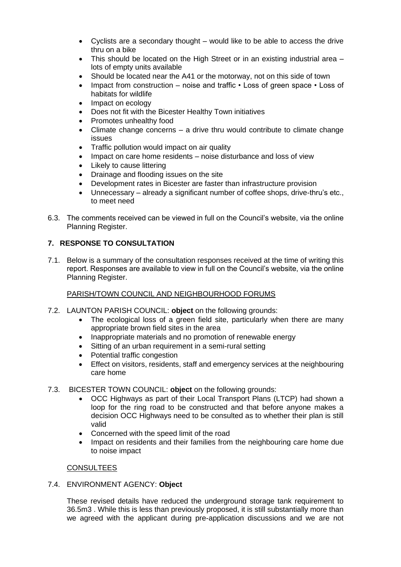- Cyclists are a secondary thought would like to be able to access the drive thru on a bike
- This should be located on the High Street or in an existing industrial area lots of empty units available
- Should be located near the A41 or the motorway, not on this side of town
- Impact from construction noise and traffic Loss of green space Loss of habitats for wildlife
- Impact on ecology
- Does not fit with the Bicester Healthy Town initiatives
- Promotes unhealthy food
- Climate change concerns a drive thru would contribute to climate change issues
- Traffic pollution would impact on air quality
- Impact on care home residents noise disturbance and loss of view
- Likely to cause littering
- Drainage and flooding issues on the site
- Development rates in Bicester are faster than infrastructure provision
- Unnecessary already a significant number of coffee shops, drive-thru's etc., to meet need
- 6.3. The comments received can be viewed in full on the Council's website, via the online Planning Register.

# **7. RESPONSE TO CONSULTATION**

7.1. Below is a summary of the consultation responses received at the time of writing this report. Responses are available to view in full on the Council's website, via the online Planning Register.

## PARISH/TOWN COUNCIL AND NEIGHBOURHOOD FORUMS

- 7.2. LAUNTON PARISH COUNCIL: **object** on the following grounds:
	- The ecological loss of a green field site, particularly when there are many appropriate brown field sites in the area
	- Inappropriate materials and no promotion of renewable energy
	- Sitting of an urban requirement in a semi-rural setting
	- Potential traffic congestion
	- Effect on visitors, residents, staff and emergency services at the neighbouring care home
- 7.3. BICESTER TOWN COUNCIL: **object** on the following grounds:
	- OCC Highways as part of their Local Transport Plans (LTCP) had shown a loop for the ring road to be constructed and that before anyone makes a decision OCC Highways need to be consulted as to whether their plan is still valid
	- Concerned with the speed limit of the road
	- Impact on residents and their families from the neighbouring care home due to noise impact

## CONSULTEES

7.4. ENVIRONMENT AGENCY: **Object**

These revised details have reduced the underground storage tank requirement to 36.5m3 . While this is less than previously proposed, it is still substantially more than we agreed with the applicant during pre-application discussions and we are not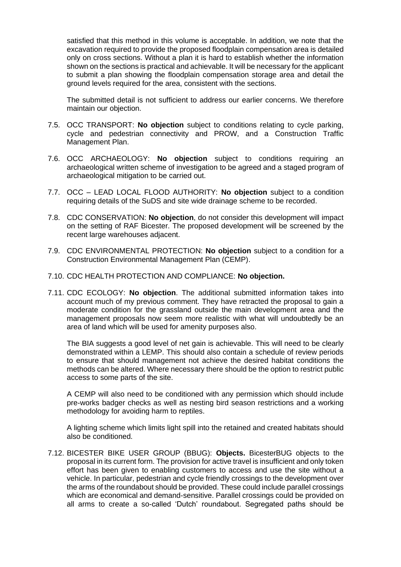satisfied that this method in this volume is acceptable. In addition, we note that the excavation required to provide the proposed floodplain compensation area is detailed only on cross sections. Without a plan it is hard to establish whether the information shown on the sections is practical and achievable. It will be necessary for the applicant to submit a plan showing the floodplain compensation storage area and detail the ground levels required for the area, consistent with the sections.

The submitted detail is not sufficient to address our earlier concerns. We therefore maintain our objection.

- 7.5. OCC TRANSPORT: **No objection** subject to conditions relating to cycle parking, cycle and pedestrian connectivity and PROW, and a Construction Traffic Management Plan.
- 7.6. OCC ARCHAEOLOGY: **No objection** subject to conditions requiring an archaeological written scheme of investigation to be agreed and a staged program of archaeological mitigation to be carried out.
- 7.7. OCC LEAD LOCAL FLOOD AUTHORITY: **No objection** subject to a condition requiring details of the SuDS and site wide drainage scheme to be recorded.
- 7.8. CDC CONSERVATION: **No objection**, do not consider this development will impact on the setting of RAF Bicester. The proposed development will be screened by the recent large warehouses adjacent.
- 7.9. CDC ENVIRONMENTAL PROTECTION: **No objection** subject to a condition for a Construction Environmental Management Plan (CEMP).
- 7.10. CDC HEALTH PROTECTION AND COMPLIANCE: **No objection.**
- 7.11. CDC ECOLOGY: **No objection**. The additional submitted information takes into account much of my previous comment. They have retracted the proposal to gain a moderate condition for the grassland outside the main development area and the management proposals now seem more realistic with what will undoubtedly be an area of land which will be used for amenity purposes also.

The BIA suggests a good level of net gain is achievable. This will need to be clearly demonstrated within a LEMP. This should also contain a schedule of review periods to ensure that should management not achieve the desired habitat conditions the methods can be altered. Where necessary there should be the option to restrict public access to some parts of the site.

A CEMP will also need to be conditioned with any permission which should include pre-works badger checks as well as nesting bird season restrictions and a working methodology for avoiding harm to reptiles.

A lighting scheme which limits light spill into the retained and created habitats should also be conditioned.

7.12. BICESTER BIKE USER GROUP (BBUG): **Objects.** BicesterBUG objects to the proposal in its current form. The provision for active travel is insufficient and only token effort has been given to enabling customers to access and use the site without a vehicle. In particular, pedestrian and cycle friendly crossings to the development over the arms of the roundabout should be provided. These could include parallel crossings which are economical and demand-sensitive. Parallel crossings could be provided on all arms to create a so-called 'Dutch' roundabout. Segregated paths should be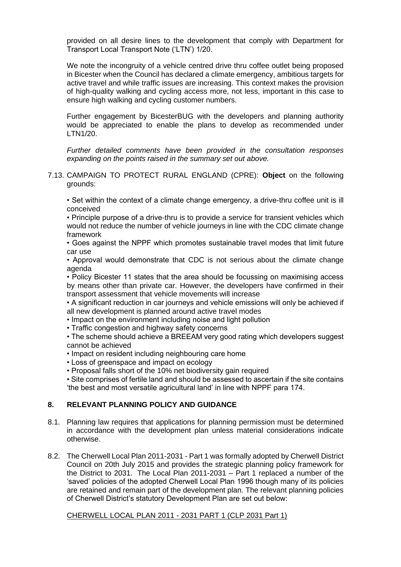provided on all desire lines to the development that comply with Department for Transport Local Transport Note ('LTN') 1/20.

We note the incongruity of a vehicle centred drive thru coffee outlet being proposed in Bicester when the Council has declared a climate emergency, ambitious targets for active travel and while traffic issues are increasing. This context makes the provision of high-quality walking and cycling access more, not less, important in this case to ensure high walking and cycling customer numbers.

Further engagement by BicesterBUG with the developers and planning authority would be appreciated to enable the plans to develop as recommended under LTN1/20.

*Further detailed comments have been provided in the consultation responses expanding on the points raised in the summary set out above.*

7.13. CAMPAIGN TO PROTECT RURAL ENGLAND (CPRE): **Object** on the following grounds:

• Set within the context of a climate change emergency, a drive-thru coffee unit is ill conceived

• Principle purpose of a drive-thru is to provide a service for transient vehicles which would not reduce the number of vehicle journeys in line with the CDC climate change framework

• Goes against the NPPF which promotes sustainable travel modes that limit future car use

• Approval would demonstrate that CDC is not serious about the climate change agenda

• Policy Bicester 11 states that the area should be focussing on maximising access by means other than private car. However, the developers have confirmed in their transport assessment that vehicle movements will increase

• A significant reduction in car journeys and vehicle emissions will only be achieved if all new development is planned around active travel modes

• Impact on the environment including noise and light pollution

• Traffic congestion and highway safety concerns

• The scheme should achieve a BREEAM very good rating which developers suggest cannot be achieved

• Impact on resident including neighbouring care home

• Loss of greenspace and impact on ecology

• Proposal falls short of the 10% net biodiversity gain required

• Site comprises of fertile land and should be assessed to ascertain if the site contains 'the best and most versatile agricultural land' in line with NPPF para 174.

## **8. RELEVANT PLANNING POLICY AND GUIDANCE**

- 8.1. Planning law requires that applications for planning permission must be determined in accordance with the development plan unless material considerations indicate otherwise.
- 8.2. The Cherwell Local Plan 2011-2031 Part 1 was formally adopted by Cherwell District Council on 20th July 2015 and provides the strategic planning policy framework for the District to 2031. The Local Plan 2011-2031 – Part 1 replaced a number of the 'saved' policies of the adopted Cherwell Local Plan 1996 though many of its policies are retained and remain part of the development plan. The relevant planning policies of Cherwell District's statutory Development Plan are set out below:

CHERWELL LOCAL PLAN 2011 - 2031 PART 1 (CLP 2031 Part 1)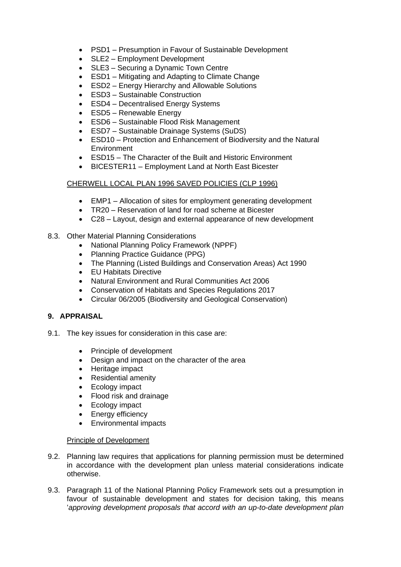- PSD1 Presumption in Favour of Sustainable Development
- SLE2 Employment Development
- SLE3 Securing a Dynamic Town Centre
- ESD1 Mitigating and Adapting to Climate Change
- ESD2 Energy Hierarchy and Allowable Solutions
- ESD3 Sustainable Construction
- ESD4 Decentralised Energy Systems
- ESD5 Renewable Energy
- ESD6 Sustainable Flood Risk Management
- ESD7 Sustainable Drainage Systems (SuDS)
- ESD10 Protection and Enhancement of Biodiversity and the Natural Environment
- ESD15 The Character of the Built and Historic Environment
- BICESTER11 Employment Land at North East Bicester

## CHERWELL LOCAL PLAN 1996 SAVED POLICIES (CLP 1996)

- EMP1 Allocation of sites for employment generating development
- TR20 Reservation of land for road scheme at Bicester
- C28 Layout, design and external appearance of new development
- 8.3. Other Material Planning Considerations
	- National Planning Policy Framework (NPPF)
	- Planning Practice Guidance (PPG)
	- The Planning (Listed Buildings and Conservation Areas) Act 1990
	- EU Habitats Directive
	- Natural Environment and Rural Communities Act 2006
	- Conservation of Habitats and Species Regulations 2017
	- Circular 06/2005 (Biodiversity and Geological Conservation)

# **9. APPRAISAL**

- 9.1. The key issues for consideration in this case are:
	- Principle of development
	- Design and impact on the character of the area
	- Heritage impact
	- Residential amenity
	- Ecology impact
	- Flood risk and drainage
	- Ecology impact
	- Energy efficiency
	- Environmental impacts

## Principle of Development

- 9.2. Planning law requires that applications for planning permission must be determined in accordance with the development plan unless material considerations indicate otherwise.
- 9.3. Paragraph 11 of the National Planning Policy Framework sets out a presumption in favour of sustainable development and states for decision taking, this means '*approving development proposals that accord with an up-to-date development plan*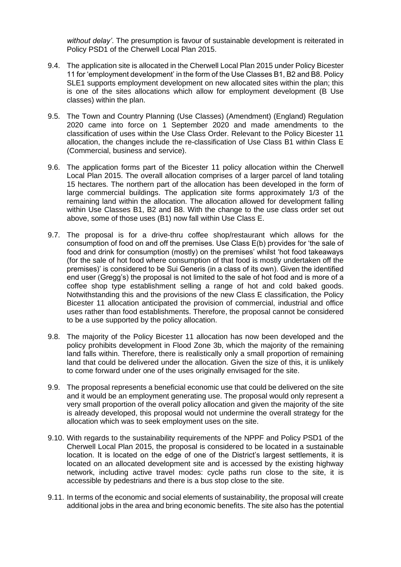*without delay'*. The presumption is favour of sustainable development is reiterated in Policy PSD1 of the Cherwell Local Plan 2015.

- 9.4. The application site is allocated in the Cherwell Local Plan 2015 under Policy Bicester 11 for 'employment development' in the form of the Use Classes B1, B2 and B8. Policy SLE1 supports employment development on new allocated sites within the plan; this is one of the sites allocations which allow for employment development (B Use classes) within the plan.
- 9.5. The Town and Country Planning (Use Classes) (Amendment) (England) Regulation 2020 came into force on 1 September 2020 and made amendments to the classification of uses within the Use Class Order. Relevant to the Policy Bicester 11 allocation, the changes include the re-classification of Use Class B1 within Class E (Commercial, business and service).
- 9.6. The application forms part of the Bicester 11 policy allocation within the Cherwell Local Plan 2015. The overall allocation comprises of a larger parcel of land totaling 15 hectares. The northern part of the allocation has been developed in the form of large commercial buildings. The application site forms approximately 1/3 of the remaining land within the allocation. The allocation allowed for development falling within Use Classes B1, B2 and B8. With the change to the use class order set out above, some of those uses (B1) now fall within Use Class E.
- 9.7. The proposal is for a drive-thru coffee shop/restaurant which allows for the consumption of food on and off the premises. Use Class E(b) provides for 'the sale of food and drink for consumption (mostly) on the premises' whilst 'hot food takeaways (for the sale of hot food where consumption of that food is mostly undertaken off the premises)' is considered to be Sui Generis (in a class of its own). Given the identified end user (Gregg's) the proposal is not limited to the sale of hot food and is more of a coffee shop type establishment selling a range of hot and cold baked goods. Notwithstanding this and the provisions of the new Class E classification, the Policy Bicester 11 allocation anticipated the provision of commercial, industrial and office uses rather than food establishments. Therefore, the proposal cannot be considered to be a use supported by the policy allocation.
- 9.8. The majority of the Policy Bicester 11 allocation has now been developed and the policy prohibits development in Flood Zone 3b, which the majority of the remaining land falls within. Therefore, there is realistically only a small proportion of remaining land that could be delivered under the allocation. Given the size of this, it is unlikely to come forward under one of the uses originally envisaged for the site.
- 9.9. The proposal represents a beneficial economic use that could be delivered on the site and it would be an employment generating use. The proposal would only represent a very small proportion of the overall policy allocation and given the majority of the site is already developed, this proposal would not undermine the overall strategy for the allocation which was to seek employment uses on the site.
- 9.10. With regards to the sustainability requirements of the NPPF and Policy PSD1 of the Cherwell Local Plan 2015, the proposal is considered to be located in a sustainable location. It is located on the edge of one of the District's largest settlements, it is located on an allocated development site and is accessed by the existing highway network, including active travel modes: cycle paths run close to the site, it is accessible by pedestrians and there is a bus stop close to the site.
- 9.11. In terms of the economic and social elements of sustainability, the proposal will create additional jobs in the area and bring economic benefits. The site also has the potential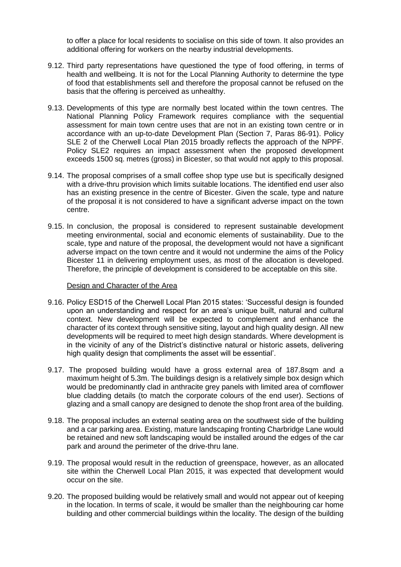to offer a place for local residents to socialise on this side of town. It also provides an additional offering for workers on the nearby industrial developments.

- 9.12. Third party representations have questioned the type of food offering, in terms of health and wellbeing. It is not for the Local Planning Authority to determine the type of food that establishments sell and therefore the proposal cannot be refused on the basis that the offering is perceived as unhealthy.
- 9.13. Developments of this type are normally best located within the town centres. The National Planning Policy Framework requires compliance with the sequential assessment for main town centre uses that are not in an existing town centre or in accordance with an up-to-date Development Plan (Section 7, Paras 86-91). Policy SLE 2 of the Cherwell Local Plan 2015 broadly reflects the approach of the NPPF. Policy SLE2 requires an impact assessment when the proposed development exceeds 1500 sq. metres (gross) in Bicester, so that would not apply to this proposal.
- 9.14. The proposal comprises of a small coffee shop type use but is specifically designed with a drive-thru provision which limits suitable locations. The identified end user also has an existing presence in the centre of Bicester. Given the scale, type and nature of the proposal it is not considered to have a significant adverse impact on the town centre.
- 9.15. In conclusion, the proposal is considered to represent sustainable development meeting environmental, social and economic elements of sustainability. Due to the scale, type and nature of the proposal, the development would not have a significant adverse impact on the town centre and it would not undermine the aims of the Policy Bicester 11 in delivering employment uses, as most of the allocation is developed. Therefore, the principle of development is considered to be acceptable on this site.

#### Design and Character of the Area

- 9.16. Policy ESD15 of the Cherwell Local Plan 2015 states: 'Successful design is founded upon an understanding and respect for an area's unique built, natural and cultural context. New development will be expected to complement and enhance the character of its context through sensitive siting, layout and high quality design. All new developments will be required to meet high design standards. Where development is in the vicinity of any of the District's distinctive natural or historic assets, delivering high quality design that compliments the asset will be essential'.
- 9.17. The proposed building would have a gross external area of 187.8sqm and a maximum height of 5.3m. The buildings design is a relatively simple box design which would be predominantly clad in anthracite grey panels with limited area of cornflower blue cladding details (to match the corporate colours of the end user). Sections of glazing and a small canopy are designed to denote the shop front area of the building.
- 9.18. The proposal includes an external seating area on the southwest side of the building and a car parking area. Existing, mature landscaping fronting Charbridge Lane would be retained and new soft landscaping would be installed around the edges of the car park and around the perimeter of the drive-thru lane.
- 9.19. The proposal would result in the reduction of greenspace, however, as an allocated site within the Cherwell Local Plan 2015, it was expected that development would occur on the site.
- 9.20. The proposed building would be relatively small and would not appear out of keeping in the location. In terms of scale, it would be smaller than the neighbouring car home building and other commercial buildings within the locality. The design of the building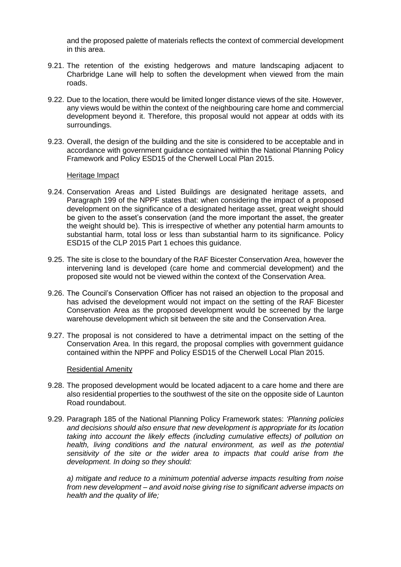and the proposed palette of materials reflects the context of commercial development in this area.

- 9.21. The retention of the existing hedgerows and mature landscaping adjacent to Charbridge Lane will help to soften the development when viewed from the main roads.
- 9.22. Due to the location, there would be limited longer distance views of the site. However, any views would be within the context of the neighbouring care home and commercial development beyond it. Therefore, this proposal would not appear at odds with its surroundings.
- 9.23. Overall, the design of the building and the site is considered to be acceptable and in accordance with government guidance contained within the National Planning Policy Framework and Policy ESD15 of the Cherwell Local Plan 2015.

### Heritage Impact

- 9.24. Conservation Areas and Listed Buildings are designated heritage assets, and Paragraph 199 of the NPPF states that: when considering the impact of a proposed development on the significance of a designated heritage asset, great weight should be given to the asset's conservation (and the more important the asset, the greater the weight should be). This is irrespective of whether any potential harm amounts to substantial harm, total loss or less than substantial harm to its significance. Policy ESD15 of the CLP 2015 Part 1 echoes this guidance.
- 9.25. The site is close to the boundary of the RAF Bicester Conservation Area, however the intervening land is developed (care home and commercial development) and the proposed site would not be viewed within the context of the Conservation Area.
- 9.26. The Council's Conservation Officer has not raised an objection to the proposal and has advised the development would not impact on the setting of the RAF Bicester Conservation Area as the proposed development would be screened by the large warehouse development which sit between the site and the Conservation Area.
- 9.27. The proposal is not considered to have a detrimental impact on the setting of the Conservation Area. In this regard, the proposal complies with government guidance contained within the NPPF and Policy ESD15 of the Cherwell Local Plan 2015.

#### Residential Amenity

- 9.28. The proposed development would be located adjacent to a care home and there are also residential properties to the southwest of the site on the opposite side of Launton Road roundabout.
- 9.29. Paragraph 185 of the National Planning Policy Framework states: *'Planning policies and decisions should also ensure that new development is appropriate for its location taking into account the likely effects (including cumulative effects) of pollution on health, living conditions and the natural environment, as well as the potential sensitivity of the site or the wider area to impacts that could arise from the development. In doing so they should:*

*a) mitigate and reduce to a minimum potential adverse impacts resulting from noise from new development – and avoid noise giving rise to significant adverse impacts on health and the quality of life;*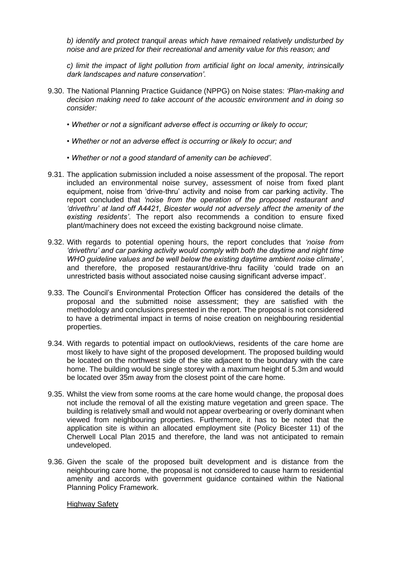*b) identify and protect tranquil areas which have remained relatively undisturbed by noise and are prized for their recreational and amenity value for this reason; and* 

*c) limit the impact of light pollution from artificial light on local amenity, intrinsically dark landscapes and nature conservation'.*

- 9.30. The National Planning Practice Guidance (NPPG) on Noise states: *'Plan-making and decision making need to take account of the acoustic environment and in doing so consider:* 
	- *Whether or not a significant adverse effect is occurring or likely to occur;*
	- *Whether or not an adverse effect is occurring or likely to occur; and*
	- *Whether or not a good standard of amenity can be achieved'.*
- 9.31. The application submission included a noise assessment of the proposal. The report included an environmental noise survey, assessment of noise from fixed plant equipment, noise from 'drive-thru' activity and noise from car parking activity. The report concluded that *'noise from the operation of the proposed restaurant and 'drivethru' at land off A4421, Bicester would not adversely affect the amenity of the existing residents'*. The report also recommends a condition to ensure fixed plant/machinery does not exceed the existing background noise climate.
- 9.32. With regards to potential opening hours, the report concludes that *'noise from 'drivethru' and car parking activity would comply with both the daytime and night time WHO guideline values and be well below the existing daytime ambient noise climate'*, and therefore, the proposed restaurant/drive-thru facility 'could trade on an unrestricted basis without associated noise causing significant adverse impact'.
- 9.33. The Council's Environmental Protection Officer has considered the details of the proposal and the submitted noise assessment; they are satisfied with the methodology and conclusions presented in the report. The proposal is not considered to have a detrimental impact in terms of noise creation on neighbouring residential properties.
- 9.34. With regards to potential impact on outlook/views, residents of the care home are most likely to have sight of the proposed development. The proposed building would be located on the northwest side of the site adjacent to the boundary with the care home. The building would be single storey with a maximum height of 5.3m and would be located over 35m away from the closest point of the care home.
- 9.35. Whilst the view from some rooms at the care home would change, the proposal does not include the removal of all the existing mature vegetation and green space. The building is relatively small and would not appear overbearing or overly dominant when viewed from neighbouring properties. Furthermore, it has to be noted that the application site is within an allocated employment site (Policy Bicester 11) of the Cherwell Local Plan 2015 and therefore, the land was not anticipated to remain undeveloped.
- 9.36. Given the scale of the proposed built development and is distance from the neighbouring care home, the proposal is not considered to cause harm to residential amenity and accords with government guidance contained within the National Planning Policy Framework.

#### Highway Safety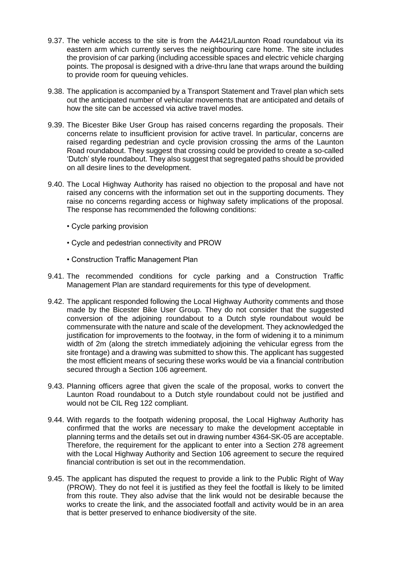- 9.37. The vehicle access to the site is from the A4421/Launton Road roundabout via its eastern arm which currently serves the neighbouring care home. The site includes the provision of car parking (including accessible spaces and electric vehicle charging points. The proposal is designed with a drive-thru lane that wraps around the building to provide room for queuing vehicles.
- 9.38. The application is accompanied by a Transport Statement and Travel plan which sets out the anticipated number of vehicular movements that are anticipated and details of how the site can be accessed via active travel modes.
- 9.39. The Bicester Bike User Group has raised concerns regarding the proposals. Their concerns relate to insufficient provision for active travel. In particular, concerns are raised regarding pedestrian and cycle provision crossing the arms of the Launton Road roundabout. They suggest that crossing could be provided to create a so-called 'Dutch' style roundabout. They also suggest that segregated paths should be provided on all desire lines to the development.
- 9.40. The Local Highway Authority has raised no objection to the proposal and have not raised any concerns with the information set out in the supporting documents. They raise no concerns regarding access or highway safety implications of the proposal. The response has recommended the following conditions:
	- Cycle parking provision
	- Cycle and pedestrian connectivity and PROW
	- Construction Traffic Management Plan
- 9.41. The recommended conditions for cycle parking and a Construction Traffic Management Plan are standard requirements for this type of development.
- 9.42. The applicant responded following the Local Highway Authority comments and those made by the Bicester Bike User Group. They do not consider that the suggested conversion of the adjoining roundabout to a Dutch style roundabout would be commensurate with the nature and scale of the development. They acknowledged the justification for improvements to the footway, in the form of widening it to a minimum width of 2m (along the stretch immediately adjoining the vehicular egress from the site frontage) and a drawing was submitted to show this. The applicant has suggested the most efficient means of securing these works would be via a financial contribution secured through a Section 106 agreement.
- 9.43. Planning officers agree that given the scale of the proposal, works to convert the Launton Road roundabout to a Dutch style roundabout could not be justified and would not be CIL Reg 122 compliant.
- 9.44. With regards to the footpath widening proposal, the Local Highway Authority has confirmed that the works are necessary to make the development acceptable in planning terms and the details set out in drawing number 4364-SK-05 are acceptable. Therefore, the requirement for the applicant to enter into a Section 278 agreement with the Local Highway Authority and Section 106 agreement to secure the required financial contribution is set out in the recommendation.
- 9.45. The applicant has disputed the request to provide a link to the Public Right of Way (PROW). They do not feel it is justified as they feel the footfall is likely to be limited from this route. They also advise that the link would not be desirable because the works to create the link, and the associated footfall and activity would be in an area that is better preserved to enhance biodiversity of the site.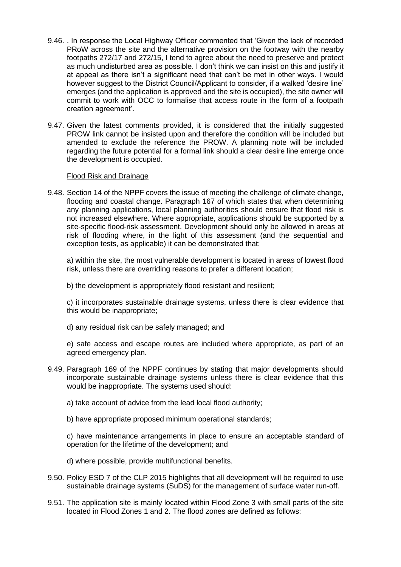- 9.46. . In response the Local Highway Officer commented that 'Given the lack of recorded PRoW across the site and the alternative provision on the footway with the nearby footpaths 272/17 and 272/15, I tend to agree about the need to preserve and protect as much undisturbed area as possible. I don't think we can insist on this and justify it at appeal as there isn't a significant need that can't be met in other ways. I would however suggest to the District Council/Applicant to consider, if a walked 'desire line' emerges (and the application is approved and the site is occupied), the site owner will commit to work with OCC to formalise that access route in the form of a footpath creation agreement'.
- 9.47. Given the latest comments provided, it is considered that the initially suggested PROW link cannot be insisted upon and therefore the condition will be included but amended to exclude the reference the PROW. A planning note will be included regarding the future potential for a formal link should a clear desire line emerge once the development is occupied.

#### Flood Risk and Drainage

9.48. Section 14 of the NPPF covers the issue of meeting the challenge of climate change, flooding and coastal change. Paragraph 167 of which states that when determining any planning applications, local planning authorities should ensure that flood risk is not increased elsewhere. Where appropriate, applications should be supported by a site-specific flood-risk assessment. Development should only be allowed in areas at risk of flooding where, in the light of this assessment (and the sequential and exception tests, as applicable) it can be demonstrated that:

a) within the site, the most vulnerable development is located in areas of lowest flood risk, unless there are overriding reasons to prefer a different location;

b) the development is appropriately flood resistant and resilient;

c) it incorporates sustainable drainage systems, unless there is clear evidence that this would be inappropriate;

d) any residual risk can be safely managed; and

e) safe access and escape routes are included where appropriate, as part of an agreed emergency plan.

- 9.49. Paragraph 169 of the NPPF continues by stating that major developments should incorporate sustainable drainage systems unless there is clear evidence that this would be inappropriate. The systems used should:
	- a) take account of advice from the lead local flood authority;
	- b) have appropriate proposed minimum operational standards;

c) have maintenance arrangements in place to ensure an acceptable standard of operation for the lifetime of the development; and

- d) where possible, provide multifunctional benefits.
- 9.50. Policy ESD 7 of the CLP 2015 highlights that all development will be required to use sustainable drainage systems (SuDS) for the management of surface water run-off.
- 9.51. The application site is mainly located within Flood Zone 3 with small parts of the site located in Flood Zones 1 and 2. The flood zones are defined as follows: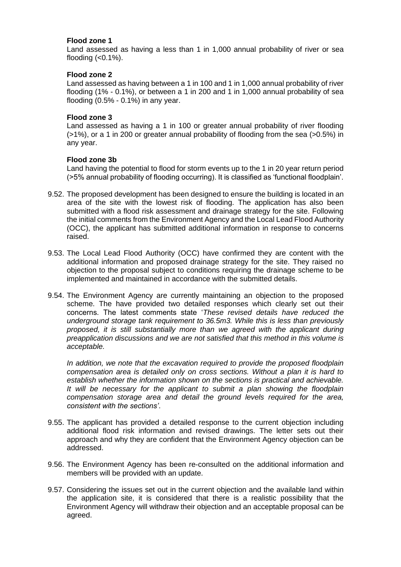### **Flood zone 1**

Land assessed as having a less than 1 in 1,000 annual probability of river or sea flooding  $( $0.1\%$ ).$ 

### **Flood zone 2**

Land assessed as having between a 1 in 100 and 1 in 1,000 annual probability of river flooding (1% - 0.1%), or between a 1 in 200 and 1 in 1,000 annual probability of sea flooding  $(0.5\% - 0.1\%)$  in any year.

#### **Flood zone 3**

Land assessed as having a 1 in 100 or greater annual probability of river flooding (>1%), or a 1 in 200 or greater annual probability of flooding from the sea (>0.5%) in any year.

### **Flood zone 3b**

Land having the potential to flood for storm events up to the 1 in 20 year return period (>5% annual probability of flooding occurring). It is classified as 'functional floodplain'.

- 9.52. The proposed development has been designed to ensure the building is located in an area of the site with the lowest risk of flooding. The application has also been submitted with a flood risk assessment and drainage strategy for the site. Following the initial comments from the Environment Agency and the Local Lead Flood Authority (OCC), the applicant has submitted additional information in response to concerns raised.
- 9.53. The Local Lead Flood Authority (OCC) have confirmed they are content with the additional information and proposed drainage strategy for the site. They raised no objection to the proposal subject to conditions requiring the drainage scheme to be implemented and maintained in accordance with the submitted details.
- 9.54. The Environment Agency are currently maintaining an objection to the proposed scheme. The have provided two detailed responses which clearly set out their concerns. The latest comments state '*These revised details have reduced the underground storage tank requirement to 36.5m3. While this is less than previously proposed, it is still substantially more than we agreed with the applicant during preapplication discussions and we are not satisfied that this method in this volume is acceptable.*

*In addition, we note that the excavation required to provide the proposed floodplain compensation area is detailed only on cross sections. Without a plan it is hard to establish whether the information shown on the sections is practical and achievable. It will be necessary for the applicant to submit a plan showing the floodplain compensation storage area and detail the ground levels required for the area, consistent with the sections'*.

- 9.55. The applicant has provided a detailed response to the current objection including additional flood risk information and revised drawings. The letter sets out their approach and why they are confident that the Environment Agency objection can be addressed.
- 9.56. The Environment Agency has been re-consulted on the additional information and members will be provided with an update.
- 9.57. Considering the issues set out in the current objection and the available land within the application site, it is considered that there is a realistic possibility that the Environment Agency will withdraw their objection and an acceptable proposal can be agreed.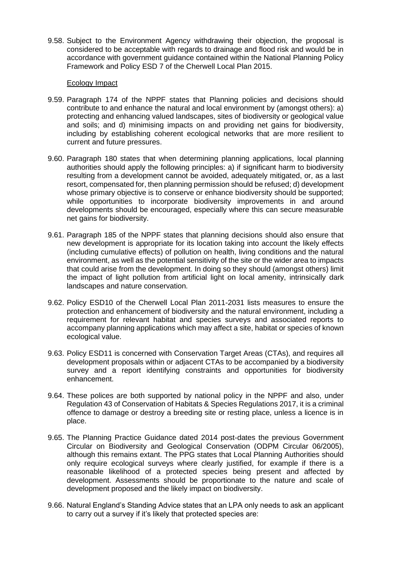9.58. Subject to the Environment Agency withdrawing their objection, the proposal is considered to be acceptable with regards to drainage and flood risk and would be in accordance with government guidance contained within the National Planning Policy Framework and Policy ESD 7 of the Cherwell Local Plan 2015.

#### Ecology Impact

- 9.59. Paragraph 174 of the NPPF states that Planning policies and decisions should contribute to and enhance the natural and local environment by (amongst others): a) protecting and enhancing valued landscapes, sites of biodiversity or geological value and soils; and d) minimising impacts on and providing net gains for biodiversity, including by establishing coherent ecological networks that are more resilient to current and future pressures.
- 9.60. Paragraph 180 states that when determining planning applications, local planning authorities should apply the following principles: a) if significant harm to biodiversity resulting from a development cannot be avoided, adequately mitigated, or, as a last resort, compensated for, then planning permission should be refused; d) development whose primary objective is to conserve or enhance biodiversity should be supported; while opportunities to incorporate biodiversity improvements in and around developments should be encouraged, especially where this can secure measurable net gains for biodiversity.
- 9.61. Paragraph 185 of the NPPF states that planning decisions should also ensure that new development is appropriate for its location taking into account the likely effects (including cumulative effects) of pollution on health, living conditions and the natural environment, as well as the potential sensitivity of the site or the wider area to impacts that could arise from the development. In doing so they should (amongst others) limit the impact of light pollution from artificial light on local amenity, intrinsically dark landscapes and nature conservation.
- 9.62. Policy ESD10 of the Cherwell Local Plan 2011-2031 lists measures to ensure the protection and enhancement of biodiversity and the natural environment, including a requirement for relevant habitat and species surveys and associated reports to accompany planning applications which may affect a site, habitat or species of known ecological value.
- 9.63. Policy ESD11 is concerned with Conservation Target Areas (CTAs), and requires all development proposals within or adjacent CTAs to be accompanied by a biodiversity survey and a report identifying constraints and opportunities for biodiversity enhancement.
- 9.64. These polices are both supported by national policy in the NPPF and also, under Regulation 43 of Conservation of Habitats & Species Regulations 2017, it is a criminal offence to damage or destroy a breeding site or resting place, unless a licence is in place.
- 9.65. The Planning Practice Guidance dated 2014 post-dates the previous Government Circular on Biodiversity and Geological Conservation (ODPM Circular 06/2005), although this remains extant. The PPG states that Local Planning Authorities should only require ecological surveys where clearly justified, for example if there is a reasonable likelihood of a protected species being present and affected by development. Assessments should be proportionate to the nature and scale of development proposed and the likely impact on biodiversity.
- 9.66. Natural England's Standing Advice states that an LPA only needs to ask an applicant to carry out a survey if it's likely that protected species are: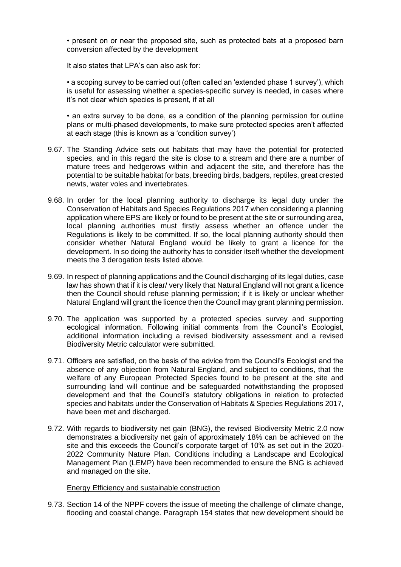• present on or near the proposed site, such as protected bats at a proposed barn conversion affected by the development

It also states that LPA's can also ask for:

• a scoping survey to be carried out (often called an 'extended phase 1 survey'), which is useful for assessing whether a species-specific survey is needed, in cases where it's not clear which species is present, if at all

• an extra survey to be done, as a condition of the planning permission for outline plans or multi-phased developments, to make sure protected species aren't affected at each stage (this is known as a 'condition survey')

- 9.67. The Standing Advice sets out habitats that may have the potential for protected species, and in this regard the site is close to a stream and there are a number of mature trees and hedgerows within and adjacent the site, and therefore has the potential to be suitable habitat for bats, breeding birds, badgers, reptiles, great crested newts, water voles and invertebrates.
- 9.68. In order for the local planning authority to discharge its legal duty under the Conservation of Habitats and Species Regulations 2017 when considering a planning application where EPS are likely or found to be present at the site or surrounding area, local planning authorities must firstly assess whether an offence under the Regulations is likely to be committed. If so, the local planning authority should then consider whether Natural England would be likely to grant a licence for the development. In so doing the authority has to consider itself whether the development meets the 3 derogation tests listed above.
- 9.69. In respect of planning applications and the Council discharging of its legal duties, case law has shown that if it is clear/ very likely that Natural England will not grant a licence then the Council should refuse planning permission; if it is likely or unclear whether Natural England will grant the licence then the Council may grant planning permission.
- 9.70. The application was supported by a protected species survey and supporting ecological information. Following initial comments from the Council's Ecologist, additional information including a revised biodiversity assessment and a revised Biodiversity Metric calculator were submitted.
- 9.71. Officers are satisfied, on the basis of the advice from the Council's Ecologist and the absence of any objection from Natural England, and subject to conditions, that the welfare of any European Protected Species found to be present at the site and surrounding land will continue and be safeguarded notwithstanding the proposed development and that the Council's statutory obligations in relation to protected species and habitats under the Conservation of Habitats & Species Regulations 2017, have been met and discharged.
- 9.72. With regards to biodiversity net gain (BNG), the revised Biodiversity Metric 2.0 now demonstrates a biodiversity net gain of approximately 18% can be achieved on the site and this exceeds the Council's corporate target of 10% as set out in the 2020- 2022 Community Nature Plan. Conditions including a Landscape and Ecological Management Plan (LEMP) have been recommended to ensure the BNG is achieved and managed on the site.

#### Energy Efficiency and sustainable construction

9.73. Section 14 of the NPPF covers the issue of meeting the challenge of climate change, flooding and coastal change. Paragraph 154 states that new development should be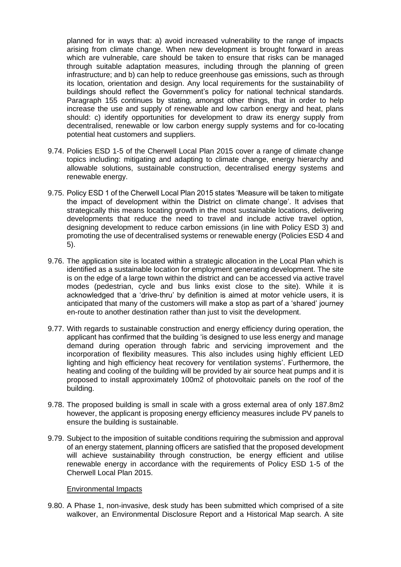planned for in ways that: a) avoid increased vulnerability to the range of impacts arising from climate change. When new development is brought forward in areas which are vulnerable, care should be taken to ensure that risks can be managed through suitable adaptation measures, including through the planning of green infrastructure; and b) can help to reduce greenhouse gas emissions, such as through its location, orientation and design. Any local requirements for the sustainability of buildings should reflect the Government's policy for national technical standards. Paragraph 155 continues by stating, amongst other things, that in order to help increase the use and supply of renewable and low carbon energy and heat, plans should: c) identify opportunities for development to draw its energy supply from decentralised, renewable or low carbon energy supply systems and for co-locating potential heat customers and suppliers.

- 9.74. Policies ESD 1-5 of the Cherwell Local Plan 2015 cover a range of climate change topics including: mitigating and adapting to climate change, energy hierarchy and allowable solutions, sustainable construction, decentralised energy systems and renewable energy.
- 9.75. Policy ESD 1 of the Cherwell Local Plan 2015 states 'Measure will be taken to mitigate the impact of development within the District on climate change'. It advises that strategically this means locating growth in the most sustainable locations, delivering developments that reduce the need to travel and include active travel option, designing development to reduce carbon emissions (in line with Policy ESD 3) and promoting the use of decentralised systems or renewable energy (Policies ESD 4 and 5).
- 9.76. The application site is located within a strategic allocation in the Local Plan which is identified as a sustainable location for employment generating development. The site is on the edge of a large town within the district and can be accessed via active travel modes (pedestrian, cycle and bus links exist close to the site). While it is acknowledged that a 'drive-thru' by definition is aimed at motor vehicle users, it is anticipated that many of the customers will make a stop as part of a 'shared' journey en-route to another destination rather than just to visit the development.
- 9.77. With regards to sustainable construction and energy efficiency during operation, the applicant has confirmed that the building 'is designed to use less energy and manage demand during operation through fabric and servicing improvement and the incorporation of flexibility measures. This also includes using highly efficient LED lighting and high efficiency heat recovery for ventilation systems'. Furthermore, the heating and cooling of the building will be provided by air source heat pumps and it is proposed to install approximately 100m2 of photovoltaic panels on the roof of the building.
- 9.78. The proposed building is small in scale with a gross external area of only 187.8m2 however, the applicant is proposing energy efficiency measures include PV panels to ensure the building is sustainable.
- 9.79. Subject to the imposition of suitable conditions requiring the submission and approval of an energy statement, planning officers are satisfied that the proposed development will achieve sustainability through construction, be energy efficient and utilise renewable energy in accordance with the requirements of Policy ESD 1-5 of the Cherwell Local Plan 2015.

#### Environmental Impacts

9.80. A Phase 1, non-invasive, desk study has been submitted which comprised of a site walkover, an Environmental Disclosure Report and a Historical Map search. A site